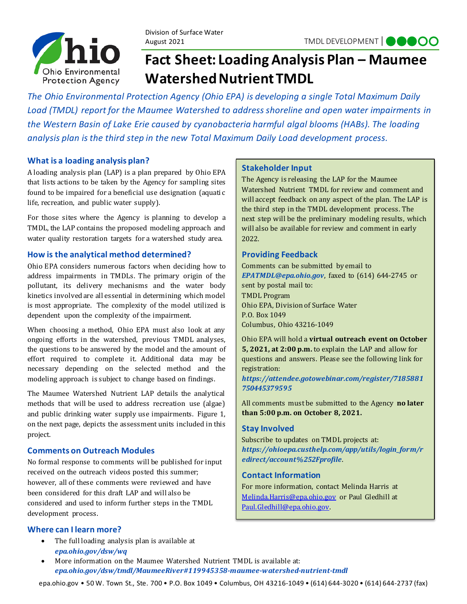

# **Fact Sheet: Loading Analysis Plan – Maumee Watershed Nutrient TMDL**

*The Ohio Environmental Protection Agency (Ohio EPA) is developing a single Total Maximum Daily Load (TMDL) report for the Maumee Watershed to address shoreline and open water impairments in the Western Basin of Lake Erie caused by cyanobacteria harmful algal blooms (HABs). The loading analysis plan is the third step in the new Total Maximum Daily Load development process.*

# **What is a loading analysis plan?**

A loading analysis plan (LAP) is a plan prepared by Ohio EPA that lists actions to be taken by the Agency for sampling sites found to be impaired for a beneficial use designation (aquatic life, recreation, and public water supply).

For those sites where the Agency is planning to develop a TMDL, the LAP contains the proposed modeling approach and water quality restoration targets for a watershed study area.

# **How is the analytical method determined?**

Ohio EPA considers numerous factors when deciding how to address impairments in TMDLs. The primary origin of the pollutant, its delivery mechanisms and the water body kinetics involvedare all essential in determining which model is most appropriate. The complexity of the model utilized is dependent upon the complexity of the impairment.

When choosing a method, Ohio EPA must also look at any ongoing efforts in the watershed, previous TMDL analyses, the questions to be answered by the model and the amount of effort required to complete it. Additional data may be necessary depending on the selected method and the modeling approach is subject to change based on findings.

The Maumee Watershed Nutrient LAP details the analytical methods that will be used to address recreation use (algae) and public drinking water supply use impairments. Figure 1, on the next page, depicts the assessment units included in this project.

## **Comments on Outreach Modules**

No formal response to comments will be published for input received on the outreach videos posted this summer; however, all of these comments were reviewed and have been considered for this draft LAP and will also be considered and used to inform further steps in the TMDL development process.

#### **Where can I learn more?**

• The full loading analysis plan is available at *[epa.ohio.gov/dsw/wq](https://epa.ohio.gov/dsw/wq)*

## **Stakeholder Input**

The Agency is releasing the LAP for the Maumee Watershed Nutrient TMDL for review and comment and will accept feedback on any aspect of the plan. The LAP is the third step in the TMDL development process. The next step will be the preliminary modeling results, which will also be available for review and comment in early 2022.

## **Providing Feedback**

Comments can be submitted by email to *[EPATMDL@epa.ohio.gov](mailto:EPATMDL@epa.ohio.gov)*, faxed to (614) 644-2745 or sent by postal mail to: TMDL Program Ohio EPA, Division of Surface Water P.O. Box 1049 Columbus, Ohio 43216-1049

Ohio EPA will hold a **virtual outreach event on October 5, 2021, at 2:00 p.m.** to explain the LAP and allow for questions and answers. Please see the following link for registration:

*[https://attendee.gotowebinar.com/register/7185881](https://gcc02.safelinks.protection.outlook.com/?url=https%3A%2F%2Fattendee.gotowebinar.com%2Fregister%2F7185881750445379595&data=04%7C01%7CMelinda.Harris%40epa.ohio.gov%7C8fe087e68ea74887708508d96bfd9a4e%7C50f8fcc494d84f0784eb36ed57c7c8a2%7C0%7C0%7C637659559219505883%7CUnknown%7CTWFpbGZsb3d8eyJWIjoiMC4wLjAwMDAiLCJQIjoiV2luMzIiLCJBTiI6Ik1haWwiLCJXVCI6Mn0%3D%7C1000&sdata=ync%2BVmbtBohjr1%2FjA%2BHylrUdre3KcyM4R%2BnMu8orElU%3D&reserved=0) [750445379595](https://gcc02.safelinks.protection.outlook.com/?url=https%3A%2F%2Fattendee.gotowebinar.com%2Fregister%2F7185881750445379595&data=04%7C01%7CMelinda.Harris%40epa.ohio.gov%7C8fe087e68ea74887708508d96bfd9a4e%7C50f8fcc494d84f0784eb36ed57c7c8a2%7C0%7C0%7C637659559219505883%7CUnknown%7CTWFpbGZsb3d8eyJWIjoiMC4wLjAwMDAiLCJQIjoiV2luMzIiLCJBTiI6Ik1haWwiLCJXVCI6Mn0%3D%7C1000&sdata=ync%2BVmbtBohjr1%2FjA%2BHylrUdre3KcyM4R%2BnMu8orElU%3D&reserved=0)*

All comments must be submitted to the Agency **no later than 5:00 p.m. on October 8, 2021.**

#### **Stay Involved**

Subscribe to updates on TMDL projects at: *[https://ohioepa.custhelp.com/app/utils/login\\_form/r](https://ohioepa.custhelp.com/app/utils/login_form/redirect/account%252Fprofile) [edirect/account%252Fprofile](https://ohioepa.custhelp.com/app/utils/login_form/redirect/account%252Fprofile)*.

#### **Contact Information**

For more information, contact Melinda Harris at [Melinda.Harris@epa.ohio.gov](mailto:Melinda.Harris@epa.ohio.gov) or Paul Gledhill at [Paul.Gledhill@epa.ohio.gov.](mailto:Paul.Gledhill@epa.ohio.gov)

• More information on the Maumee Watershed Nutrient TMDL is available at: *[epa.ohio.gov/dsw/tmdl/MaumeeRiver#119945358-maumee-watershed-nutrient-tmdl](https://epa.ohio.gov/dsw/tmdl/MaumeeRiver%23119945358-maumee-watershed-nutrient-tmdl)*

epa.ohio.gov • 50 W. Town St., Ste. 700 • P.O. Box 1049 • Columbus, OH 43216-1049 • (614) 644-3020 • (614) 644-2737 (fax)